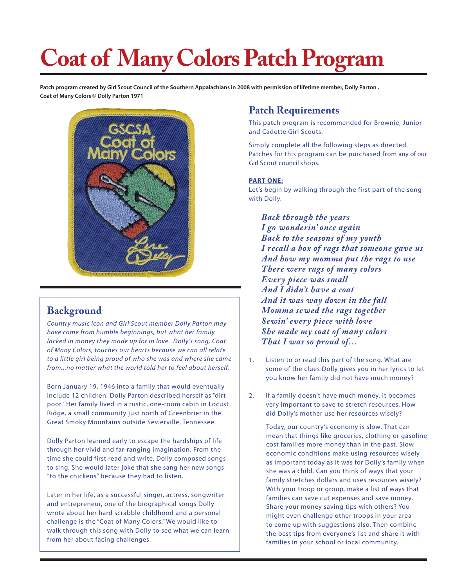# **Coat of Many Colors Patch Program**

**Patch program created by Girl Scout Council of the Southern Appalachians in 2008 with permission of lifetime member, Dolly Parton . Coat of Many Colors © Dolly Parton 1971**



## **Background**

*Country music icon and Girl Scout member Dolly Parton may have come from humble beginnings, but what her family lacked in money they made up for in love. Dolly's song, Coat of Many Colors, touches our hearts because we can all relate to a little girl being proud of who she was and where she came from...no matter what the world told her to feel about herself.*

Born January 19, 1946 into a family that would eventually include 12 children, Dolly Parton described herself as "dirt poor." Her family lived in a rustic, one-room cabin in Locust Ridge, a small community just north of Greenbrier in the Great Smoky Mountains outside Sevierville, Tennessee.

Dolly Parton learned early to escape the hardships of life through her vivid and far-ranging imagination. From the time she could first read and write, Dolly composed songs to sing. She would later joke that she sang her new songs "to the chickens" because they had to listen.

Later in her life, as a successful singer, actress, songwriter and entrepreneur, one of the biographical songs Dolly wrote about her hard scrabble childhood and a personal challenge is the "Coat of Many Colors." We would like to walk through this song with Dolly to see what we can learn from her about facing challenges.

## **Patch Requirements**

This patch program is recommended for Brownie, Junior and Cadette Girl Scouts.

Simply complete all the following steps as directed. Patches for this program can be purchased from any of our Girl Scout council shops.

### **PART ONE:**

Let's begin by walking through the first part of the song with Dolly.

*Back through the years I go wonderin' once again Back to the seasons of my youth I recall a box of rags that someone gave us And how my momma put the rags to use There were rags of many colors Every piece was small And I didn't have a coat And it was way down in the fall Momma sewed the rags together Sewin' every piece with love She made my coat of many colors That I was so proud of…*

- 1. Listen to or read this part of the song. What are some of the clues Dolly gives you in her lyrics to let you know her family did not have much money?
- 2. If a family doesn't have much money, it becomes very important to save to stretch resources. How did Dolly's mother use her resources wisely?

Today, our country's economy is slow. That can mean that things like groceries, clothing or gasoline cost families more money than in the past. Slow economic conditions make using resources wisely as important today as it was for Dolly's family when she was a child. Can you think of ways that your family stretches dollars and uses resources wisely? With your troop or group, make a list of ways that families can save cut expenses and save money. Share your money saving tips with others? You might even challenge other troops in your area to come up with suggestions also. Then combine the best tips from everyone's list and share it with families in your school or local community.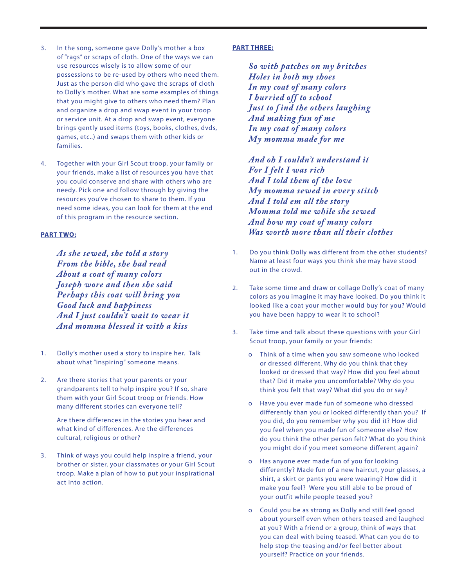- 3. In the song, someone gave Dolly's mother a box of "rags" or scraps of cloth. One of the ways we can use resources wisely is to allow some of our possessions to be re-used by others who need them. Just as the person did who gave the scraps of cloth to Dolly's mother. What are some examples of things that you might give to others who need them? Plan and organize a drop and swap event in your troop or service unit. At a drop and swap event, everyone brings gently used items (toys, books, clothes, dvds, games, etc..) and swaps them with other kids or families.
- 4. Together with your Girl Scout troop, your family or your friends, make a list of resources you have that you could conserve and share with others who are needy. Pick one and follow through by giving the resources you've chosen to share to them. If you need some ideas, you can look for them at the end of this program in the resource section.

#### **PART TWO:**

*As she sewed, she told a story From the bible, she had read About a coat of many colors Joseph wore and then she said Perhaps this coat will bring you Good luck and happiness And I just couldn't wait to wear it And momma blessed it with a kiss* 

- 1. Dolly's mother used a story to inspire her. Talk about what "inspiring" someone means.
- 2. Are there stories that your parents or your grandparents tell to help inspire you? If so, share them with your Girl Scout troop or friends. How many different stories can everyone tell?

Are there differences in the stories you hear and what kind of differences. Are the differences cultural, religious or other?

3. Think of ways you could help inspire a friend, your brother or sister, your classmates or your Girl Scout troop. Make a plan of how to put your inspirational act into action.

#### **PART THREE:**

*So with patches on my britches Holes in both my shoes In my coat of many colors I hurried off to school Just to f ind the others laughing And making fun of me In my coat of many colors My momma made for me*

*And oh I couldn't understand it For I felt I was rich And I told them of the love My momma sewed in every stitch And I told em all the story Momma told me while she sewed And how my coat of many colors Was worth more than all their clothes*

- 1. Do you think Dolly was different from the other students? Name at least four ways you think she may have stood out in the crowd.
- 2. Take some time and draw or collage Dolly's coat of many colors as you imagine it may have looked. Do you think it looked like a coat your mother would buy for you? Would you have been happy to wear it to school?
- 3. Take time and talk about these questions with your Girl Scout troop, your family or your friends:
	- o Think of a time when you saw someone who looked or dressed different. Why do you think that they looked or dressed that way? How did you feel about that? Did it make you uncomfortable? Why do you think you felt that way? What did you do or say?
	- o Have you ever made fun of someone who dressed differently than you or looked differently than you? If you did, do you remember why you did it? How did you feel when you made fun of someone else? How do you think the other person felt? What do you think you might do if you meet someone different again?
	- o Has anyone ever made fun of you for looking differently? Made fun of a new haircut, your glasses, a shirt, a skirt or pants you were wearing? How did it make you feel? Were you still able to be proud of your outfit while people teased you?
	- o Could you be as strong as Dolly and still feel good about yourself even when others teased and laughed at you? With a friend or a group, think of ways that you can deal with being teased. What can you do to help stop the teasing and/or feel better about yourself? Practice on your friends.